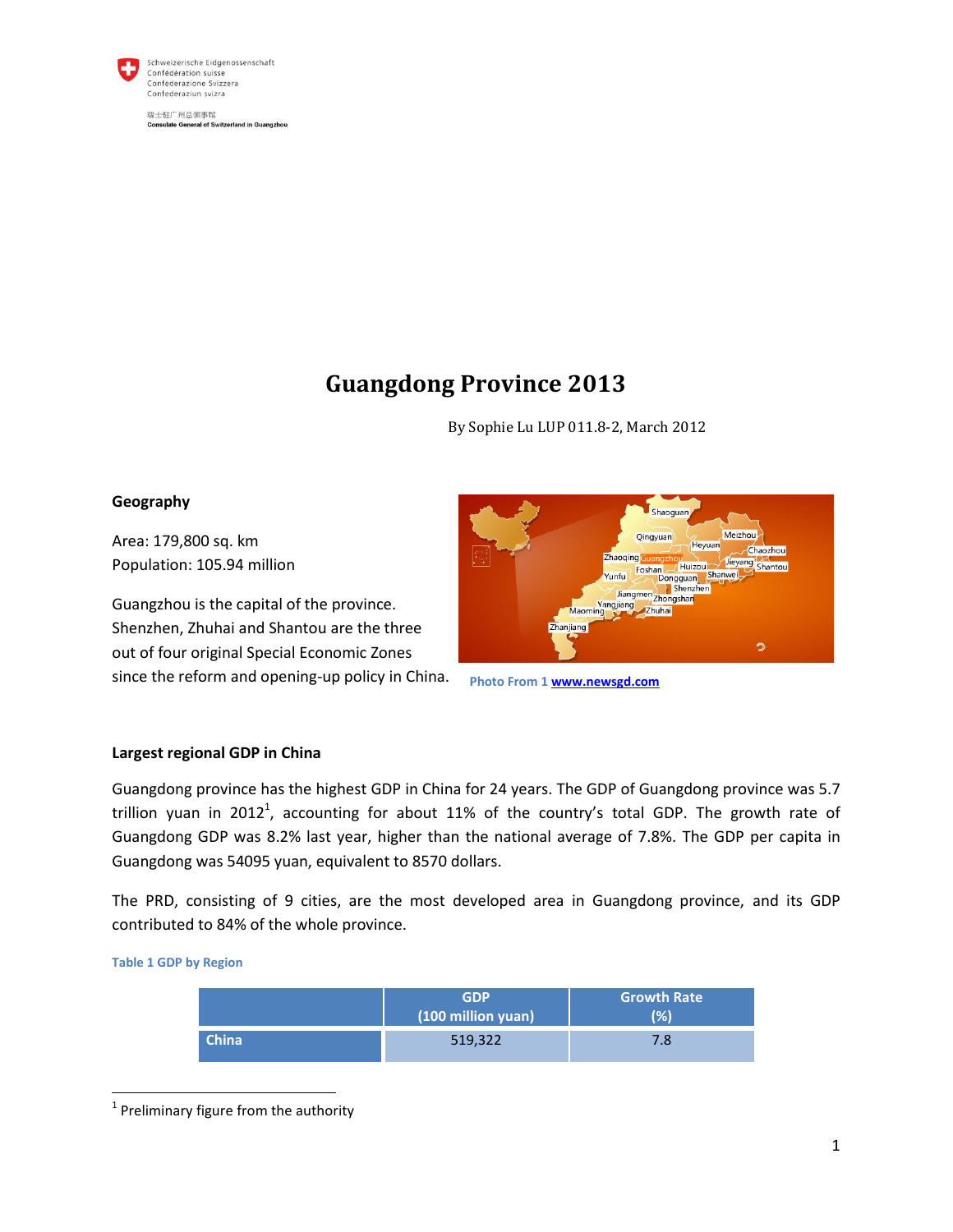

Schweizerische Eidgenossenschaft Confédération suisse Confederazione Svizzera Confederaziun svizra

瑞士驻广州总领事馆 **Consulate General of Switzerland in Guangzhou** 

# **Guangdong Province 2013**

By Sophie Lu LUP 011.8-2, March 2012

# **Geography**

Area: 179,800 sq. km Population: 105.94 million

Guangzhou is the capital of the province. Shenzhen, Zhuhai and Shantou are the three out of four original Special Economic Zones since the reform and opening-up policy in China.



**Photo From 1 [www.newsgd.com](http://www.newsgd.com/)**

# **Largest regional GDP in China**

Guangdong province has the highest GDP in China for 24 years. The GDP of Guangdong province was 5.7 trillion yuan in 2012<sup>1</sup>, accounting for about 11% of the country's total GDP. The growth rate of Guangdong GDP was 8.2% last year, higher than the national average of 7.8%. The GDP per capita in Guangdong was 54095 yuan, equivalent to 8570 dollars.

The PRD, consisting of 9 cities, are the most developed area in Guangdong province, and its GDP contributed to 84% of the whole province.

**Table 1 GDP by Region**

 $\overline{\phantom{a}}$ 

|              | <b>GDP</b><br>(100 million yuan) | <b>Growth Rate</b><br>$\frac{1}{2}$ |
|--------------|----------------------------------|-------------------------------------|
| <b>China</b> | 519,322                          | 7.8                                 |

 $<sup>1</sup>$  Preliminary figure from the authority</sup>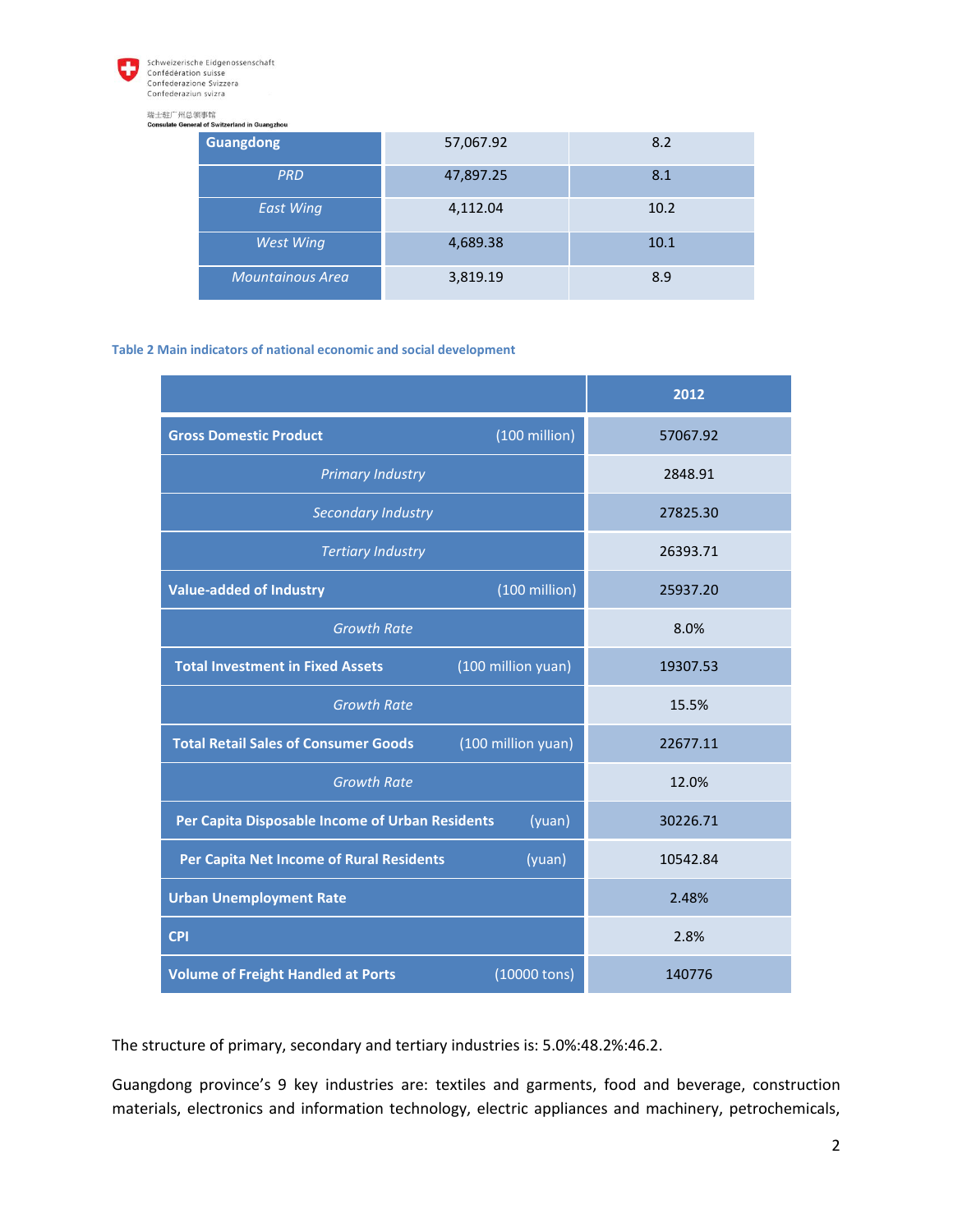

Schweizerische Eidgenossenschaft Confédération suisse<br>Confederazione Svizzera Confederaziun svizra

# 瑞士驻广州总领事馆<br>Consulate General of Switze

| ਾ ਜਾ ਮ<br>ral of Switzerland in Guangzhou |           |      |  |  |
|-------------------------------------------|-----------|------|--|--|
| <b>Guangdong</b>                          | 57,067.92 | 8.2  |  |  |
| <b>PRD</b>                                | 47,897.25 | 8.1  |  |  |
| <b>East Wing</b>                          | 4,112.04  | 10.2 |  |  |
| <b>West Wing</b>                          | 4,689.38  | 10.1 |  |  |
| <b>Mountainous Area</b>                   | 3,819.19  | 8.9  |  |  |

### **Table 2 Main indicators of national economic and social development**

|                                                                   | 2012     |  |
|-------------------------------------------------------------------|----------|--|
| $(100 \text{ million})$<br><b>Gross Domestic Product</b>          | 57067.92 |  |
| <b>Primary Industry</b>                                           | 2848.91  |  |
| Secondary Industry                                                | 27825.30 |  |
| <b>Tertiary Industry</b>                                          | 26393.71 |  |
| (100 million)<br><b>Value-added of Industry</b>                   | 25937.20 |  |
| <b>Growth Rate</b>                                                | 8.0%     |  |
| <b>Total Investment in Fixed Assets</b><br>(100 million yuan)     | 19307.53 |  |
| <b>Growth Rate</b>                                                | 15.5%    |  |
| <b>Total Retail Sales of Consumer Goods</b><br>(100 million yuan) | 22677.11 |  |
| <b>Growth Rate</b>                                                | 12.0%    |  |
| Per Capita Disposable Income of Urban Residents<br>(yuan)         | 30226.71 |  |
| Per Capita Net Income of Rural Residents<br>(yuan)                | 10542.84 |  |
| <b>Urban Unemployment Rate</b>                                    | 2.48%    |  |
| <b>CPI</b>                                                        | 2.8%     |  |
| <b>Volume of Freight Handled at Ports</b><br>(10000 tons)         | 140776   |  |

The structure of primary, secondary and tertiary industries is: 5.0%:48.2%:46.2.

Guangdong province's 9 key industries are: textiles and garments, food and beverage, construction materials, electronics and information technology, electric appliances and machinery, petrochemicals,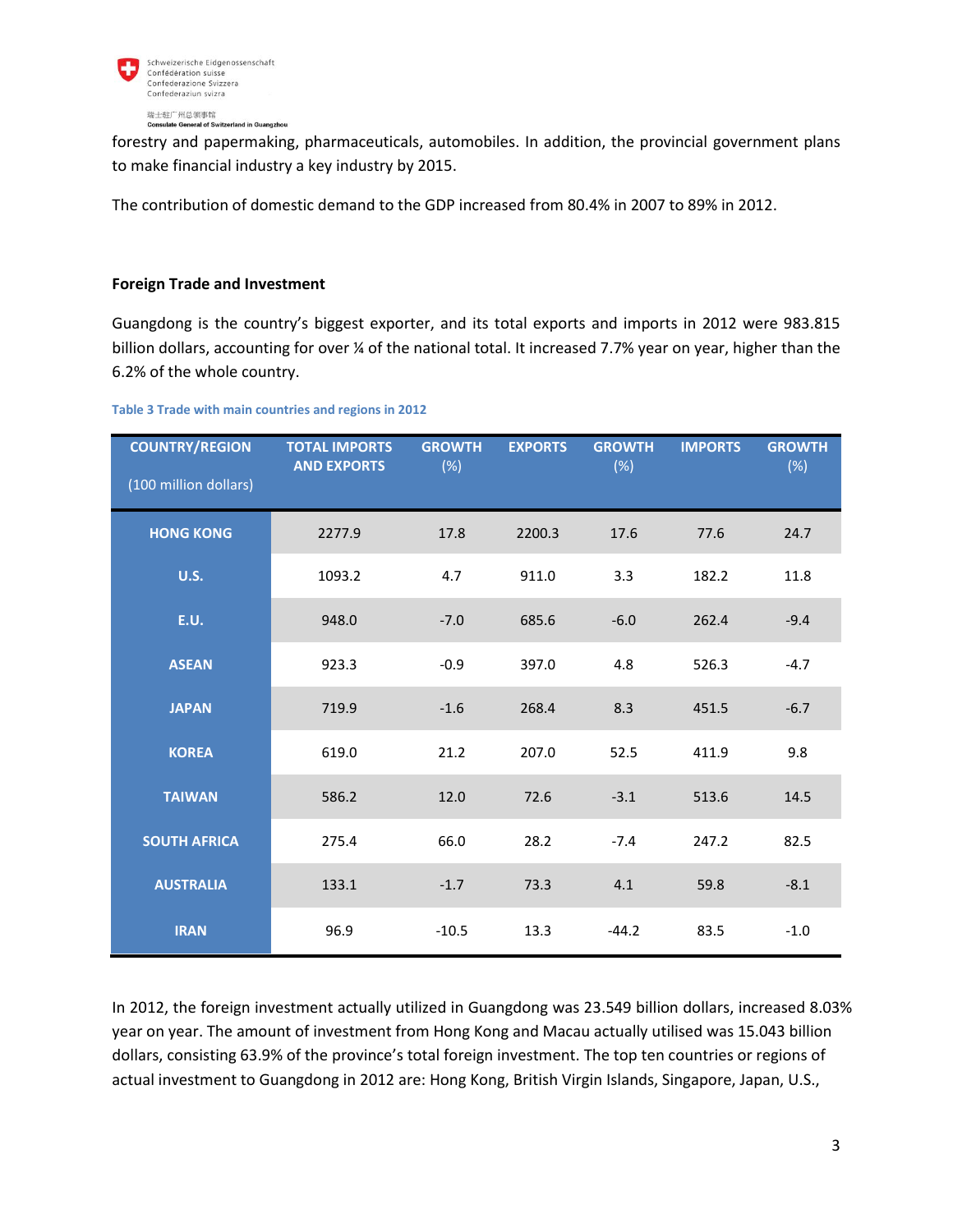

**Internal Serveral of Switzerland in Guangzhou** 

forestry and papermaking, pharmaceuticals, automobiles. In addition, the provincial government plans to make financial industry a key industry by 2015.

The contribution of domestic demand to the GDP increased from 80.4% in 2007 to 89% in 2012.

# **Foreign Trade and Investment**

Guangdong is the country's biggest exporter, and its total exports and imports in 2012 were 983.815 billion dollars, accounting for over ¼ of the national total. It increased 7.7% year on year, higher than the 6.2% of the whole country.

#### **Table 3 Trade with main countries and regions in 2012**

| <b>COUNTRY/REGION</b><br>(100 million dollars) | <b>TOTAL IMPORTS</b><br><b>AND EXPORTS</b> | <b>GROWTH</b><br>(%) | <b>EXPORTS</b> | <b>GROWTH</b><br>$(\%)$ | <b>IMPORTS</b> | <b>GROWTH</b><br>(%) |
|------------------------------------------------|--------------------------------------------|----------------------|----------------|-------------------------|----------------|----------------------|
| <b>HONG KONG</b>                               | 2277.9                                     | 17.8                 | 2200.3         | 17.6                    | 77.6           | 24.7                 |
| <b>U.S.</b>                                    | 1093.2                                     | 4.7                  | 911.0          | 3.3                     | 182.2          | 11.8                 |
| <b>E.U.</b>                                    | 948.0                                      | $-7.0$               | 685.6          | $-6.0$                  | 262.4          | $-9.4$               |
| <b>ASEAN</b>                                   | 923.3                                      | $-0.9$               | 397.0          | 4.8                     | 526.3          | $-4.7$               |
| <b>JAPAN</b>                                   | 719.9                                      | $-1.6$               | 268.4          | 8.3                     | 451.5          | $-6.7$               |
| <b>KOREA</b>                                   | 619.0                                      | 21.2                 | 207.0          | 52.5                    | 411.9          | 9.8                  |
| <b>TAIWAN</b>                                  | 586.2                                      | 12.0                 | 72.6           | $-3.1$                  | 513.6          | 14.5                 |
| <b>SOUTH AFRICA</b>                            | 275.4                                      | 66.0                 | 28.2           | $-7.4$                  | 247.2          | 82.5                 |
| <b>AUSTRALIA</b>                               | 133.1                                      | $-1.7$               | 73.3           | 4.1                     | 59.8           | $-8.1$               |
| <b>IRAN</b>                                    | 96.9                                       | $-10.5$              | 13.3           | $-44.2$                 | 83.5           | $-1.0$               |

In 2012, the foreign investment actually utilized in Guangdong was 23.549 billion dollars, increased 8.03% year on year. The amount of investment from Hong Kong and Macau actually utilised was 15.043 billion dollars, consisting 63.9% of the province's total foreign investment. The top ten countries or regions of actual investment to Guangdong in 2012 are: Hong Kong, British Virgin Islands, Singapore, Japan, U.S.,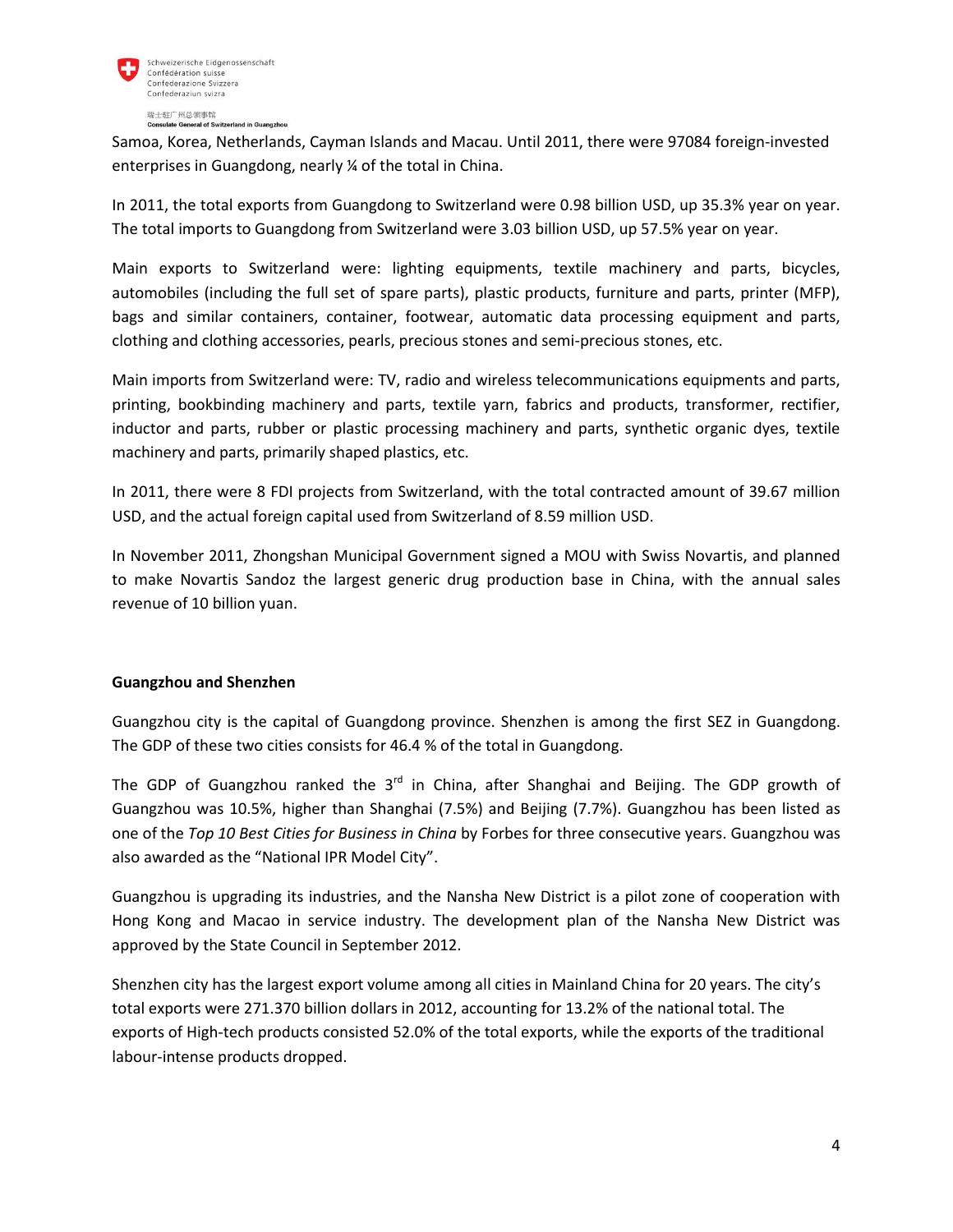

#### 瑞士驻广州总领事馆 ate General of Switzerland in Guangzhou

Samoa, Korea, Netherlands, Cayman Islands and Macau. Until 2011, there were 97084 foreign-invested enterprises in Guangdong, nearly ¼ of the total in China.

In 2011, the total exports from Guangdong to Switzerland were 0.98 billion USD, up 35.3% year on year. The total imports to Guangdong from Switzerland were 3.03 billion USD, up 57.5% year on year.

Main exports to Switzerland were: lighting equipments, textile machinery and parts, bicycles, automobiles (including the full set of spare parts), plastic products, furniture and parts, printer (MFP), bags and similar containers, container, footwear, automatic data processing equipment and parts, clothing and clothing accessories, pearls, precious stones and semi-precious stones, etc.

Main imports from Switzerland were: TV, radio and wireless telecommunications equipments and parts, printing, bookbinding machinery and parts, textile yarn, fabrics and products, transformer, rectifier, inductor and parts, rubber or plastic processing machinery and parts, synthetic organic dyes, textile machinery and parts, primarily shaped plastics, etc.

In 2011, there were 8 FDI projects from Switzerland, with the total contracted amount of 39.67 million USD, and the actual foreign capital used from Switzerland of 8.59 million USD.

In November 2011, Zhongshan Municipal Government signed a MOU with Swiss Novartis, and planned to make Novartis Sandoz the largest generic drug production base in China, with the annual sales revenue of 10 billion yuan.

# **Guangzhou and Shenzhen**

Guangzhou city is the capital of Guangdong province. Shenzhen is among the first SEZ in Guangdong. The GDP of these two cities consists for 46.4 % of the total in Guangdong.

The GDP of Guangzhou ranked the  $3<sup>rd</sup>$  in China, after Shanghai and Beijing. The GDP growth of Guangzhou was 10.5%, higher than Shanghai (7.5%) and Beijing (7.7%). Guangzhou has been listed as one of the *Top 10 Best Cities for Business in China* by Forbes for three consecutive years. Guangzhou was also awarded as the "National IPR Model City".

Guangzhou is upgrading its industries, and the Nansha New District is a pilot zone of cooperation with Hong Kong and Macao in service industry. The development plan of the Nansha New District was approved by the State Council in September 2012.

Shenzhen city has the largest export volume among all cities in Mainland China for 20 years. The city's total exports were 271.370 billion dollars in 2012, accounting for 13.2% of the national total. The exports of High-tech products consisted 52.0% of the total exports, while the exports of the traditional labour-intense products dropped.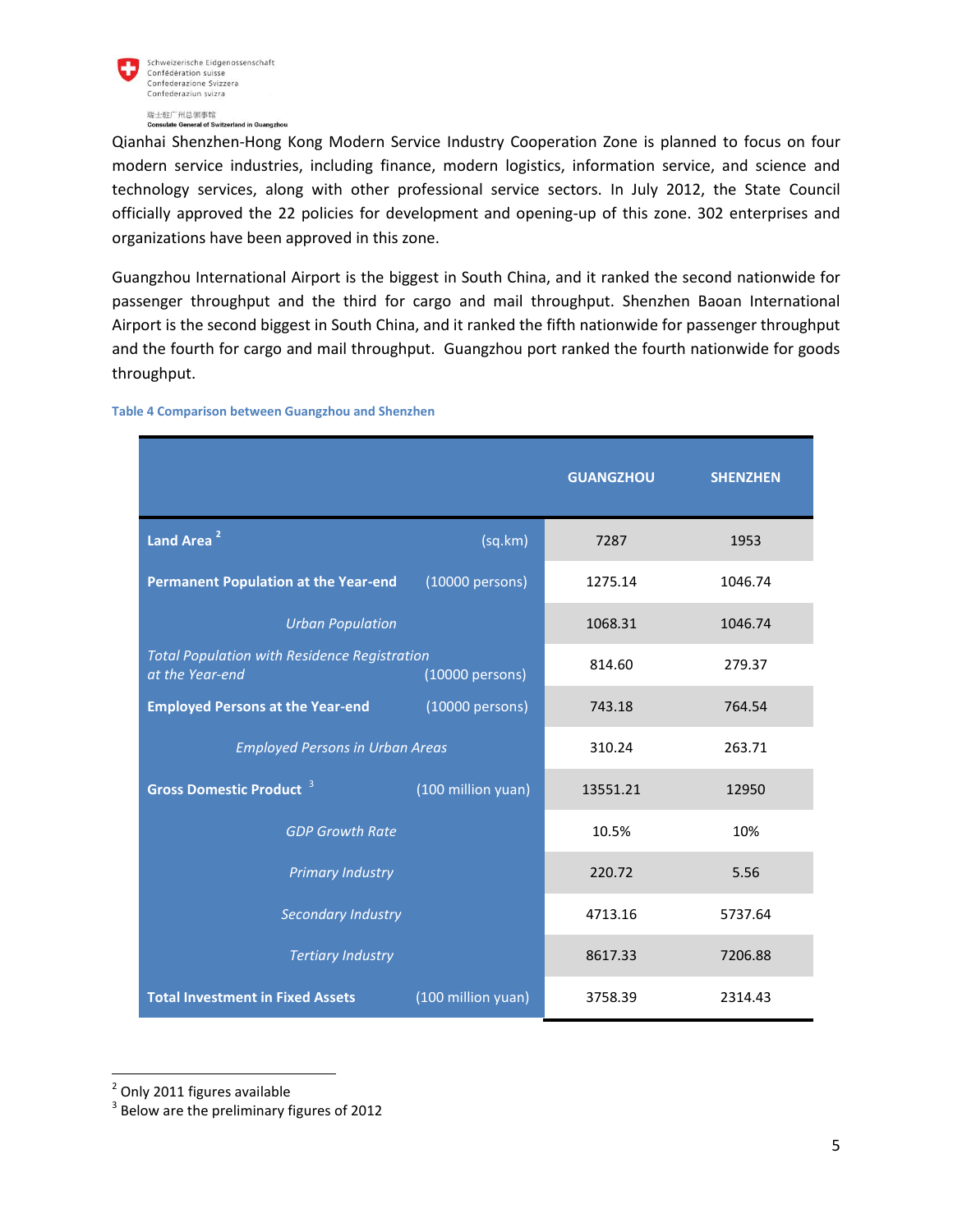

瑞士驻广州总领事馆 **rland in Guangzhou** ate General of Switz

Qianhai Shenzhen-Hong Kong Modern Service Industry Cooperation Zone is planned to focus on four modern service industries, including finance, modern logistics, information service, and science and technology services, along with other professional service sectors. In July 2012, the State Council officially approved the 22 policies for development and opening-up of this zone. 302 enterprises and organizations have been approved in this zone.

Guangzhou International Airport is the biggest in South China, and it ranked the second nationwide for passenger throughput and the third for cargo and mail throughput. Shenzhen Baoan International Airport is the second biggest in South China, and it ranked the fifth nationwide for passenger throughput and the fourth for cargo and mail throughput. Guangzhou port ranked the fourth nationwide for goods throughput.

|                                                                                           | <b>GUANGZHOU</b> | <b>SHENZHEN</b> |
|-------------------------------------------------------------------------------------------|------------------|-----------------|
| Land Area <sup>2</sup><br>(sq.km)                                                         | 7287             | 1953            |
| <b>Permanent Population at the Year-end</b><br>(10000 persons)                            | 1275.14          | 1046.74         |
| <b>Urban Population</b>                                                                   | 1068.31          | 1046.74         |
| <b>Total Population with Residence Registration</b><br>at the Year-end<br>(10000 persons) | 814.60           | 279.37          |
| <b>Employed Persons at the Year-end</b><br>(10000 persons)                                | 743.18           | 764.54          |
| <b>Employed Persons in Urban Areas</b>                                                    | 310.24           | 263.71          |
| <b>Gross Domestic Product 3</b><br>(100 million yuan)                                     | 13551.21         | 12950           |
| <b>GDP Growth Rate</b>                                                                    | 10.5%            | 10%             |
| <b>Primary Industry</b>                                                                   | 220.72           | 5.56            |
| Secondary Industry                                                                        | 4713.16          | 5737.64         |
| <b>Tertiary Industry</b>                                                                  | 8617.33          | 7206.88         |
| <b>Total Investment in Fixed Assets</b><br>(100 million yuan)                             | 3758.39          | 2314.43         |

**Table 4 Comparison between Guangzhou and Shenzhen**

l

<sup>&</sup>lt;sup>2</sup> Only 2011 figures available

 $3$  Below are the preliminary figures of 2012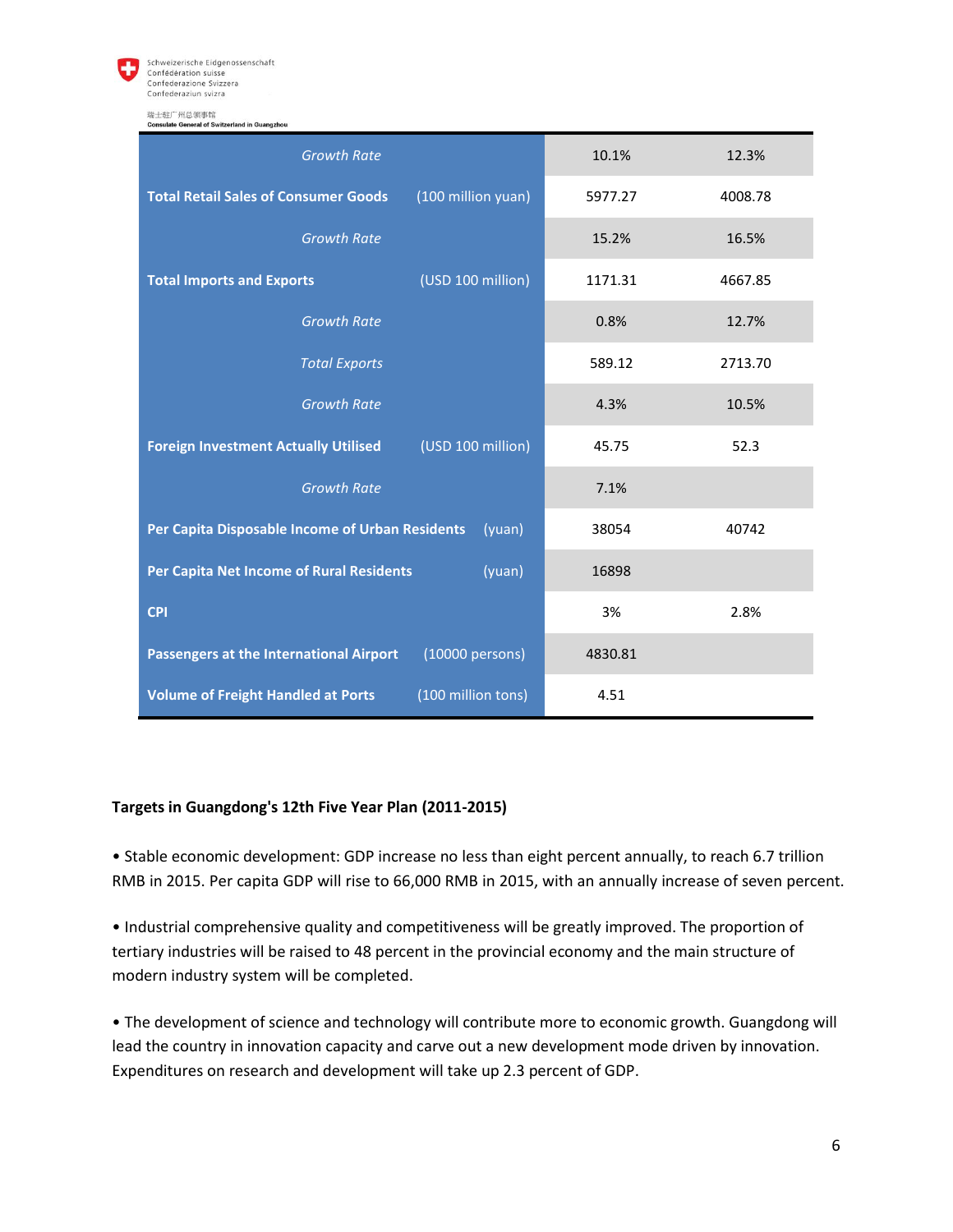

Schweizerische Eidgenossenschaft Confédération suisse Confederazione Svizzera Confederaziun svizra

瑞士驻广州总领事馆

| <b>Consulate General of Switzerland in Guangzhou</b>              |         |         |
|-------------------------------------------------------------------|---------|---------|
| <b>Growth Rate</b>                                                | 10.1%   | 12.3%   |
| (100 million yuan)<br><b>Total Retail Sales of Consumer Goods</b> | 5977.27 | 4008.78 |
| <b>Growth Rate</b>                                                | 15.2%   | 16.5%   |
| (USD 100 million)<br><b>Total Imports and Exports</b>             | 1171.31 | 4667.85 |
| <b>Growth Rate</b>                                                | 0.8%    | 12.7%   |
| <b>Total Exports</b>                                              | 589.12  | 2713.70 |
| <b>Growth Rate</b>                                                | 4.3%    | 10.5%   |
| (USD 100 million)<br><b>Foreign Investment Actually Utilised</b>  | 45.75   | 52.3    |
| <b>Growth Rate</b>                                                | 7.1%    |         |
| Per Capita Disposable Income of Urban Residents<br>(yuan)         | 38054   | 40742   |
| Per Capita Net Income of Rural Residents<br>(yuan)                | 16898   |         |
| <b>CPI</b>                                                        | 3%      | 2.8%    |
| (10000 persons)<br><b>Passengers at the International Airport</b> | 4830.81 |         |
| (100 million tons)<br><b>Volume of Freight Handled at Ports</b>   | 4.51    |         |

# **Targets in Guangdong's 12th Five Year Plan (2011-2015)**

• Stable economic development: GDP increase no less than eight percent annually, to reach 6.7 trillion RMB in 2015. Per capita GDP will rise to 66,000 RMB in 2015, with an annually increase of seven percent.

• Industrial comprehensive quality and competitiveness will be greatly improved. The proportion of tertiary industries will be raised to 48 percent in the provincial economy and the main structure of modern industry system will be completed.

• The development of science and technology will contribute more to economic growth. Guangdong will lead the country in innovation capacity and carve out a new development mode driven by innovation. Expenditures on research and development will take up 2.3 percent of GDP.